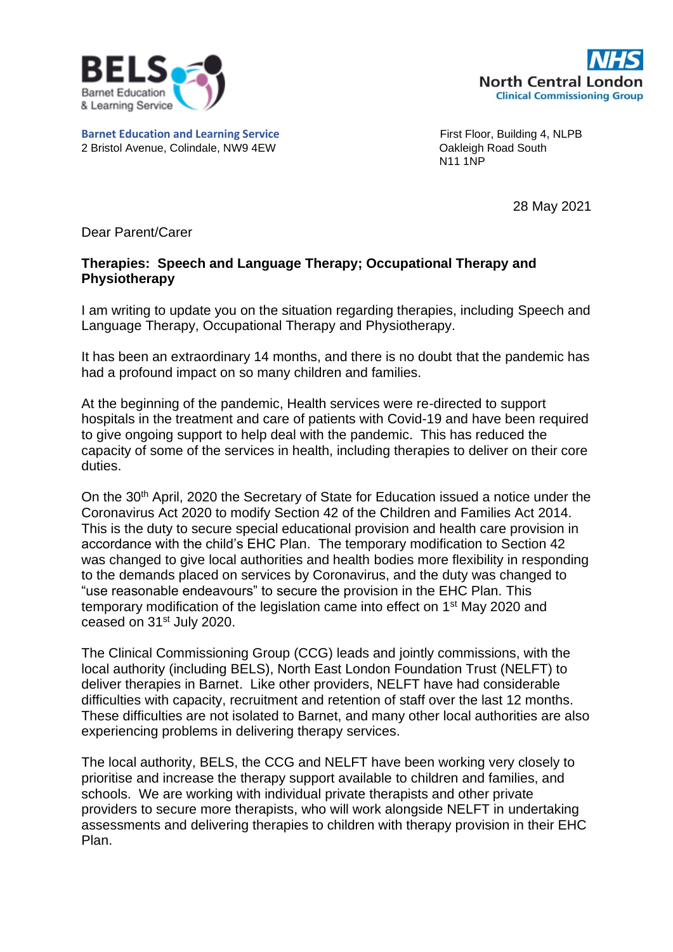

**Barnet Education and Learning Service** First Floor, Building 4, NLPB



2 Bristol Avenue, Colindale, NW9 4EW CORP CORPORTED MANUSIC CONTROLLER CONTROLLER CONTROLLER CONTROLLER 2 ON M<br>
2 M11 1NP N11 1NP

28 May 2021

Dear Parent/Carer

## **Therapies: Speech and Language Therapy; Occupational Therapy and Physiotherapy**

I am writing to update you on the situation regarding therapies, including Speech and Language Therapy, Occupational Therapy and Physiotherapy.

It has been an extraordinary 14 months, and there is no doubt that the pandemic has had a profound impact on so many children and families.

At the beginning of the pandemic, Health services were re-directed to support hospitals in the treatment and care of patients with Covid-19 and have been required to give ongoing support to help deal with the pandemic. This has reduced the capacity of some of the services in health, including therapies to deliver on their core duties.

On the 30th April, 2020 the Secretary of State for Education issued a notice under the Coronavirus Act 2020 to modify Section 42 of the Children and Families Act 2014. This is the duty to secure special educational provision and health care provision in accordance with the child's EHC Plan. The temporary modification to Section 42 was changed to give local authorities and health bodies more flexibility in responding to the demands placed on services by Coronavirus, and the duty was changed to "use reasonable endeavours" to secure the provision in the EHC Plan. This temporary modification of the legislation came into effect on 1st May 2020 and ceased on 31st July 2020.

The Clinical Commissioning Group (CCG) leads and jointly commissions, with the local authority (including BELS), North East London Foundation Trust (NELFT) to deliver therapies in Barnet. Like other providers, NELFT have had considerable difficulties with capacity, recruitment and retention of staff over the last 12 months. These difficulties are not isolated to Barnet, and many other local authorities are also experiencing problems in delivering therapy services.

The local authority, BELS, the CCG and NELFT have been working very closely to prioritise and increase the therapy support available to children and families, and schools. We are working with individual private therapists and other private providers to secure more therapists, who will work alongside NELFT in undertaking assessments and delivering therapies to children with therapy provision in their EHC Plan.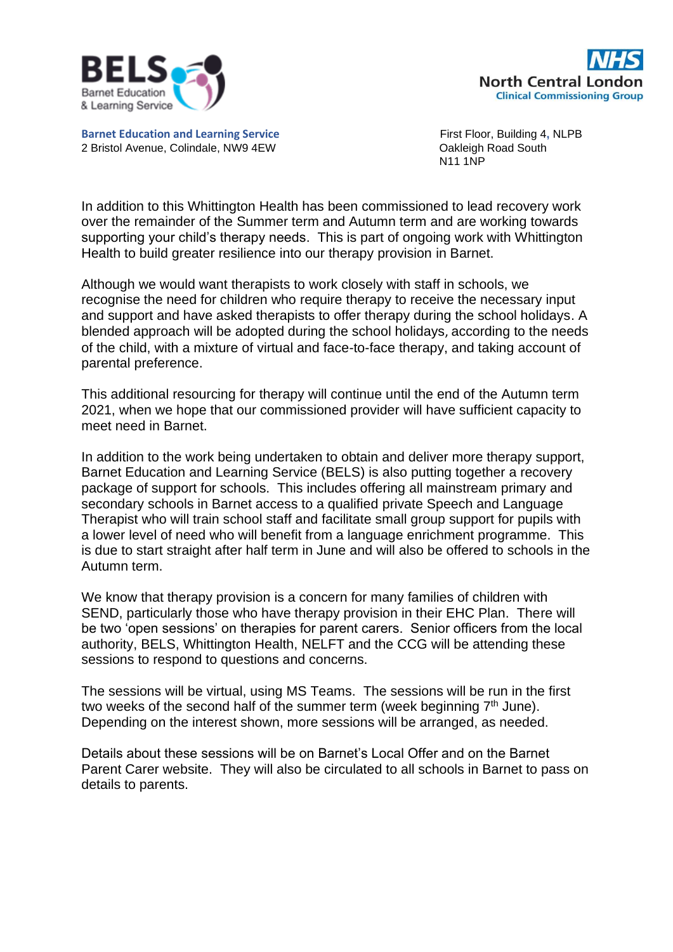



**Barnet Education and Learning Service** First Floor, Building 4, NLPB 2 Bristol Avenue, Colindale, NW9 4EW CORP CORPORTED AND ROAD BOAT CONTROLLER TO A CONTROLLER

N11 1NP

In addition to this Whittington Health has been commissioned to lead recovery work over the remainder of the Summer term and Autumn term and are working towards supporting your child's therapy needs. This is part of ongoing work with Whittington Health to build greater resilience into our therapy provision in Barnet.

Although we would want therapists to work closely with staff in schools, we recognise the need for children who require therapy to receive the necessary input and support and have asked therapists to offer therapy during the school holidays. A blended approach will be adopted during the school holidays, according to the needs of the child, with a mixture of virtual and face-to-face therapy, and taking account of parental preference.

This additional resourcing for therapy will continue until the end of the Autumn term 2021, when we hope that our commissioned provider will have sufficient capacity to meet need in Barnet.

In addition to the work being undertaken to obtain and deliver more therapy support, Barnet Education and Learning Service (BELS) is also putting together a recovery package of support for schools. This includes offering all mainstream primary and secondary schools in Barnet access to a qualified private Speech and Language Therapist who will train school staff and facilitate small group support for pupils with a lower level of need who will benefit from a language enrichment programme. This is due to start straight after half term in June and will also be offered to schools in the Autumn term.

We know that therapy provision is a concern for many families of children with SEND, particularly those who have therapy provision in their EHC Plan. There will be two 'open sessions' on therapies for parent carers. Senior officers from the local authority, BELS, Whittington Health, NELFT and the CCG will be attending these sessions to respond to questions and concerns.

The sessions will be virtual, using MS Teams. The sessions will be run in the first two weeks of the second half of the summer term (week beginning  $7<sup>th</sup>$  June). Depending on the interest shown, more sessions will be arranged, as needed.

Details about these sessions will be on Barnet's Local Offer and on the Barnet Parent Carer website. They will also be circulated to all schools in Barnet to pass on details to parents.